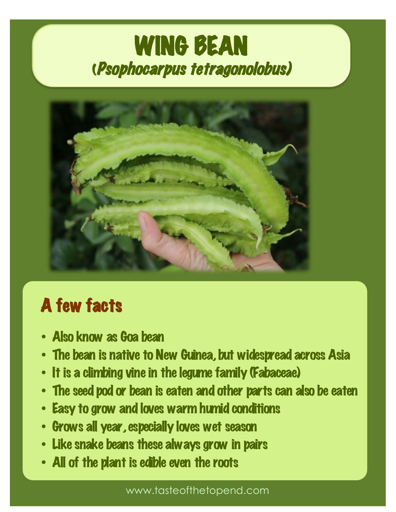# WING BEAN<br>(Psophocarpus tetragonolobus)



### A few facts

- Also know as Goa bean
- The bean is native to New Guinea, but widespread across Asia
- It is a climbing vine in the legume family (Fabaceae)
- The seed pod or bean is eaten and other parts can also be eaten
- Easy to grow and loves warm humid conditions
- Grows all year, especially loves wet season
- Like snake beans these always grow in pairs
- All of the plant is edible even the roots

www.tasteofthetopend.com